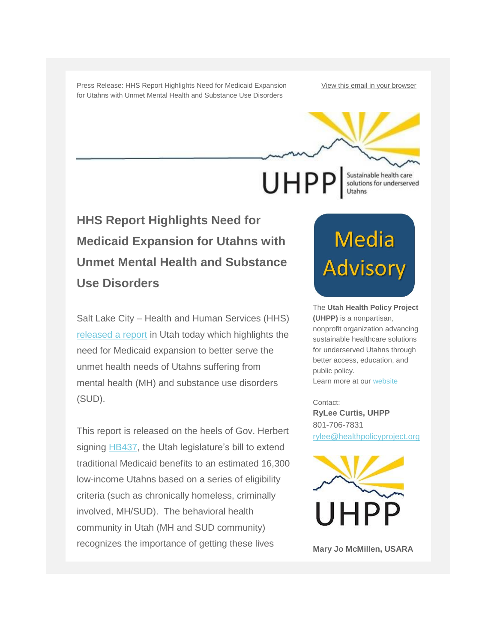Press Release: HHS Report Highlights Need for Medicaid Expansion for Utahns with Unmet Mental Health and Substance Use Disorders

[View this email in your browser](http://us1.campaign-archive2.com/?u=656a6686e0e46fdadf04f0a2e&id=1329dec586&e=)

**UHPP** 

Sustainable health care<br>solutions for underserved Utahns

**HHS Report Highlights Need for Medicaid Expansion for Utahns with Unmet Mental Health and Substance Use Disorders**

Salt Lake City – Health and Human Services (HHS) [released a report](https://aspe.hhs.gov/pdf-report/benefits-medicaid-expansion-behavioral-health) in Utah today which highlights the need for Medicaid expansion to better serve the unmet health needs of Utahns suffering from mental health (MH) and substance use disorders (SUD).

This report is released on the heels of Gov. Herbert signing [HB437,](http://le.utah.gov/~2016/bills/static/hb0437.html) the Utah legislature's bill to extend traditional Medicaid benefits to an estimated 16,300 low-income Utahns based on a series of eligibility criteria (such as chronically homeless, criminally involved, MH/SUD). The behavioral health community in Utah (MH and SUD community) recognizes the importance of getting these lives

## Media<br>Advisory

The **Utah Health Policy Project (UHPP)** is a nonpartisan, nonprofit organization advancing sustainable healthcare solutions for underserved Utahns through better access, education, and public policy. Learn more at ou[r website](http://www.healthpolicyproject.org/)

Contact: **RyLee Curtis, UHPP** 801-706-7831 [rylee@healthpolicyproject.org](mailto:rylee@healthpolicyproject.org)



**Mary Jo McMillen, USARA**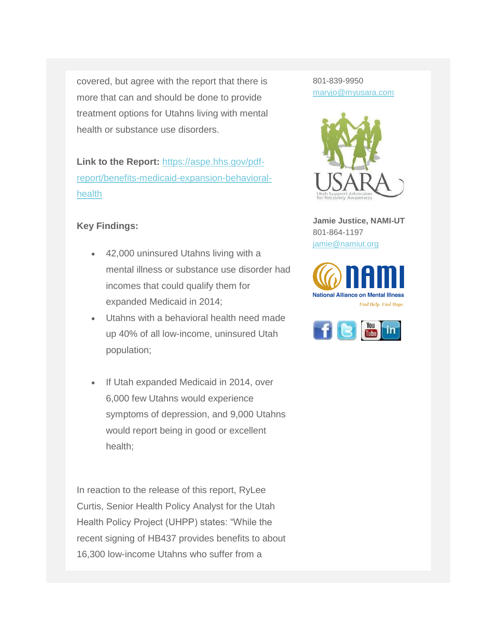covered, but agree with the report that there is more that can and should be done to provide treatment options for Utahns living with mental health or substance use disorders.

**Link to the Report:** [https://aspe.hhs.gov/pdf](https://aspe.hhs.gov/pdf-report/benefits-medicaid-expansion-behavioral-health)[report/benefits-medicaid-expansion-behavioral](https://aspe.hhs.gov/pdf-report/benefits-medicaid-expansion-behavioral-health)[health](https://aspe.hhs.gov/pdf-report/benefits-medicaid-expansion-behavioral-health)

## **Key Findings:**

- 42,000 uninsured Utahns living with a mental illness or substance use disorder had incomes that could qualify them for expanded Medicaid in 2014;
- Utahns with a behavioral health need made up 40% of all low-income, uninsured Utah population;
- If Utah expanded Medicaid in 2014, over 6,000 few Utahns would experience symptoms of depression, and 9,000 Utahns would report being in good or excellent health;

In reaction to the release of this report, RyLee Curtis, Senior Health Policy Analyst for the Utah Health Policy Project (UHPP) states: "While the recent signing of HB437 provides benefits to about 16,300 low-income Utahns who suffer from a

801-839-9950 [maryjo@myusara.com](mailto:maryjo@myusara.com)



**Jamie Justice, NAMI-UT** 801-864-1197 [jamie@namiut.org](mailto:jamie@namiut.org)



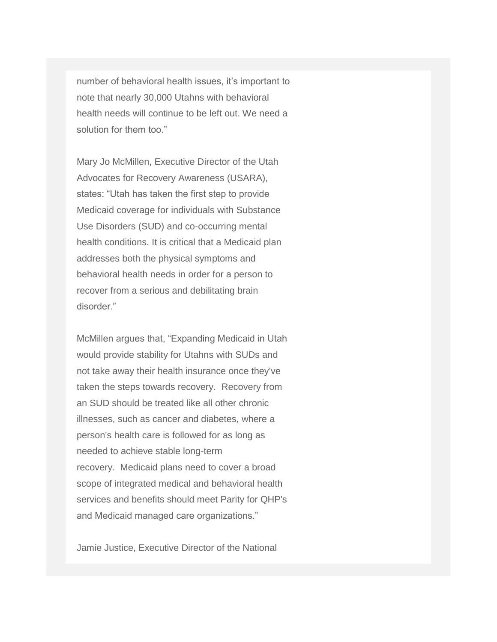number of behavioral health issues, it's important to note that nearly 30,000 Utahns with behavioral health needs will continue to be left out. We need a solution for them too."

Mary Jo McMillen, Executive Director of the Utah Advocates for Recovery Awareness (USARA), states: "Utah has taken the first step to provide Medicaid coverage for individuals with Substance Use Disorders (SUD) and co-occurring mental health conditions. It is critical that a Medicaid plan addresses both the physical symptoms and behavioral health needs in order for a person to recover from a serious and debilitating brain disorder."

McMillen argues that, "Expanding Medicaid in Utah would provide stability for Utahns with SUDs and not take away their health insurance once they've taken the steps towards recovery. Recovery from an SUD should be treated like all other chronic illnesses, such as cancer and diabetes, where a person's health care is followed for as long as needed to achieve stable long-term recovery. Medicaid plans need to cover a broad scope of integrated medical and behavioral health services and benefits should meet Parity for QHP's and Medicaid managed care organizations."

Jamie Justice, Executive Director of the National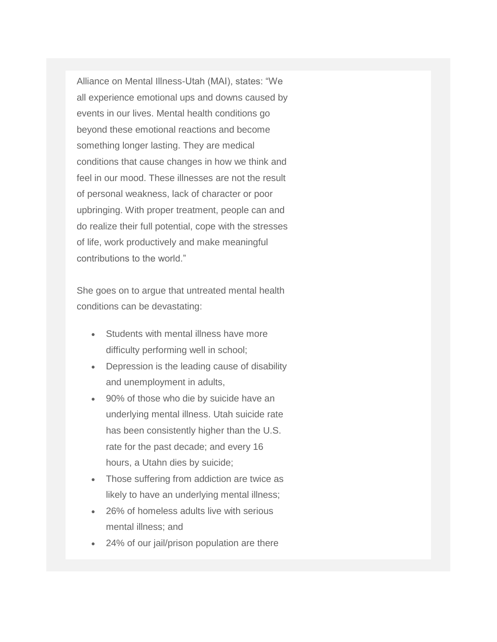Alliance on Mental Illness-Utah (MAI), states: "We all experience emotional ups and downs caused by events in our lives. Mental health conditions go beyond these emotional reactions and become something longer lasting. They are medical conditions that cause changes in how we think and feel in our mood. These illnesses are not the result of personal weakness, lack of character or poor upbringing. With proper treatment, people can and do realize their full potential, cope with the stresses of life, work productively and make meaningful contributions to the world."

She goes on to argue that untreated mental health conditions can be devastating:

- Students with mental illness have more difficulty performing well in school;
- Depression is the leading cause of disability and unemployment in adults,
- 90% of those who die by suicide have an underlying mental illness. Utah suicide rate has been consistently higher than the U.S. rate for the past decade; and every 16 hours, a Utahn dies by suicide;
- Those suffering from addiction are twice as likely to have an underlying mental illness;
- 26% of homeless adults live with serious mental illness; and
- 24% of our jail/prison population are there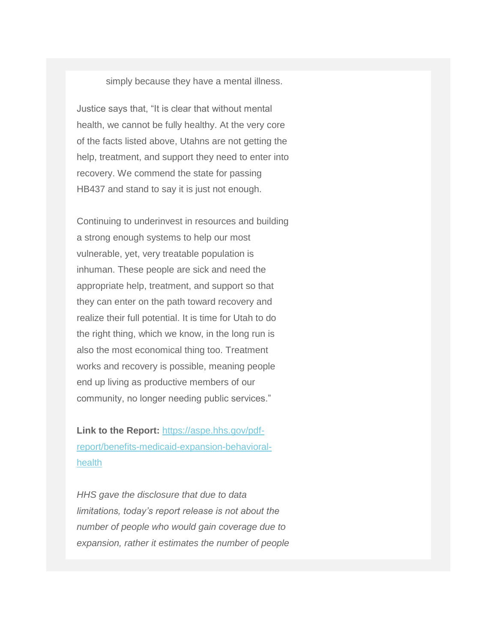simply because they have a mental illness.

Justice says that, "It is clear that without mental health, we cannot be fully healthy. At the very core of the facts listed above, Utahns are not getting the help, treatment, and support they need to enter into recovery. We commend the state for passing HB437 and stand to say it is just not enough.

Continuing to underinvest in resources and building a strong enough systems to help our most vulnerable, yet, very treatable population is inhuman. These people are sick and need the appropriate help, treatment, and support so that they can enter on the path toward recovery and realize their full potential. It is time for Utah to do the right thing, which we know, in the long run is also the most economical thing too. Treatment works and recovery is possible, meaning people end up living as productive members of our community, no longer needing public services."

**Link to the Report:** [https://aspe.hhs.gov/pdf](https://aspe.hhs.gov/pdf-report/benefits-medicaid-expansion-behavioral-health)[report/benefits-medicaid-expansion-behavioral](https://aspe.hhs.gov/pdf-report/benefits-medicaid-expansion-behavioral-health)[health](https://aspe.hhs.gov/pdf-report/benefits-medicaid-expansion-behavioral-health)

*HHS gave the disclosure that due to data limitations, today's report release is not about the number of people who would gain coverage due to expansion, rather it estimates the number of people*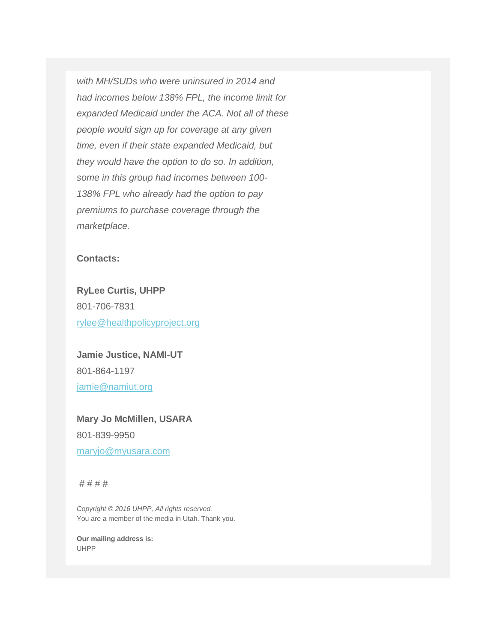*with MH/SUDs who were uninsured in 2014 and had incomes below 138% FPL, the income limit for expanded Medicaid under the ACA. Not all of these people would sign up for coverage at any given time, even if their state expanded Medicaid, but they would have the option to do so. In addition, some in this group had incomes between 100- 138% FPL who already had the option to pay premiums to purchase coverage through the marketplace.*

## **Contacts:**

**RyLee Curtis, UHPP** 801-706-7831 [rylee@healthpolicyproject.org](mailto:rylee@healthpolicyproject.org)

**Jamie Justice, NAMI-UT** 801-864-1197 [jamie@namiut.org](mailto:jamie@namiut.org)

**Mary Jo McMillen, USARA** 801-839-9950 [maryjo@myusara.com](mailto:maryjo@myusara.com)

# # # #

*Copyright © 2016 UHPP, All rights reserved.* You are a member of the media in Utah. Thank you.

**Our mailing address is:** UHPP